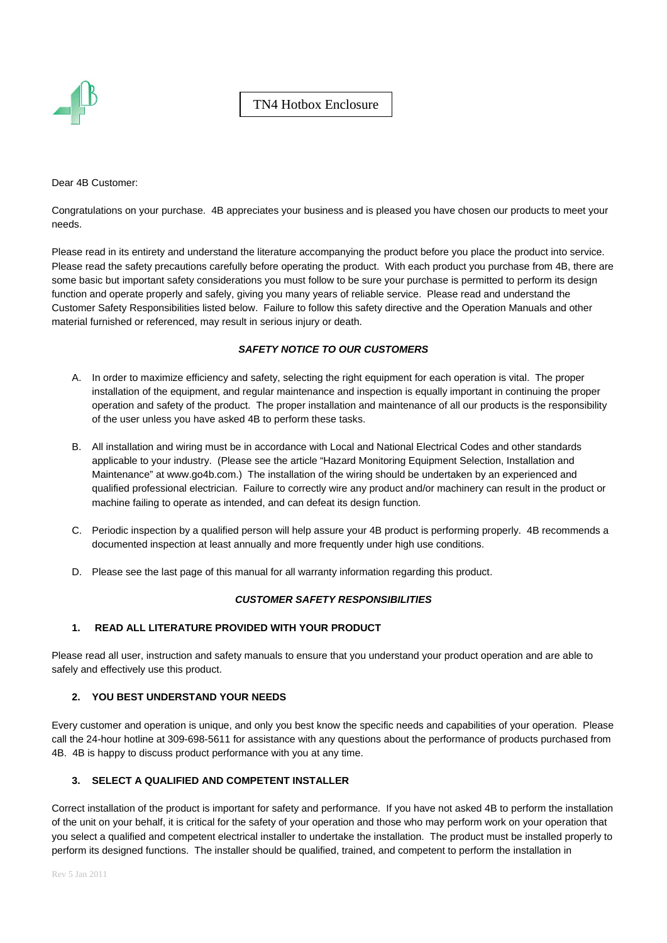

Dear 4B Customer:

Congratulations on your purchase. 4B appreciates your business and is pleased you have chosen our products to meet your needs.

Please read in its entirety and understand the literature accompanying the product before you place the product into service. Please read the safety precautions carefully before operating the product. With each product you purchase from 4B, there are some basic but important safety considerations you must follow to be sure your purchase is permitted to perform its design function and operate properly and safely, giving you many years of reliable service. Please read and understand the Customer Safety Responsibilities listed below. Failure to follow this safety directive and the Operation Manuals and other material furnished or referenced, may result in serious injury or death.

## *SAFETY NOTICE TO OUR CUSTOMERS*

- A. In order to maximize efficiency and safety, selecting the right equipment for each operation is vital. The proper installation of the equipment, and regular maintenance and inspection is equally important in continuing the proper operation and safety of the product. The proper installation and maintenance of all our products is the responsibility of the user unless you have asked 4B to perform these tasks.
- B. All installation and wiring must be in accordance with Local and National Electrical Codes and other standards applicable to your industry. (Please see the article "Hazard Monitoring Equipment Selection, Installation and Maintenance" at www.go4b.com.) The installation of the wiring should be undertaken by an experienced and qualified professional electrician. Failure to correctly wire any product and/or machinery can result in the product or machine failing to operate as intended, and can defeat its design function.
- C. Periodic inspection by a qualified person will help assure your 4B product is performing properly. 4B recommends a documented inspection at least annually and more frequently under high use conditions.
- D. Please see the last page of this manual for all warranty information regarding this product.

#### *CUSTOMER SAFETY RESPONSIBILITIES*

#### **1. READ ALL LITERATURE PROVIDED WITH YOUR PRODUCT**

Please read all user, instruction and safety manuals to ensure that you understand your product operation and are able to safely and effectively use this product.

#### **2. YOU BEST UNDERSTAND YOUR NEEDS**

Every customer and operation is unique, and only you best know the specific needs and capabilities of your operation. Please call the 24-hour hotline at 309-698-5611 for assistance with any questions about the performance of products purchased from 4B. 4B is happy to discuss product performance with you at any time.

### **3. SELECT A QUALIFIED AND COMPETENT INSTALLER**

Correct installation of the product is important for safety and performance. If you have not asked 4B to perform the installation of the unit on your behalf, it is critical for the safety of your operation and those who may perform work on your operation that you select a qualified and competent electrical installer to undertake the installation. The product must be installed properly to perform its designed functions. The installer should be qualified, trained, and competent to perform the installation in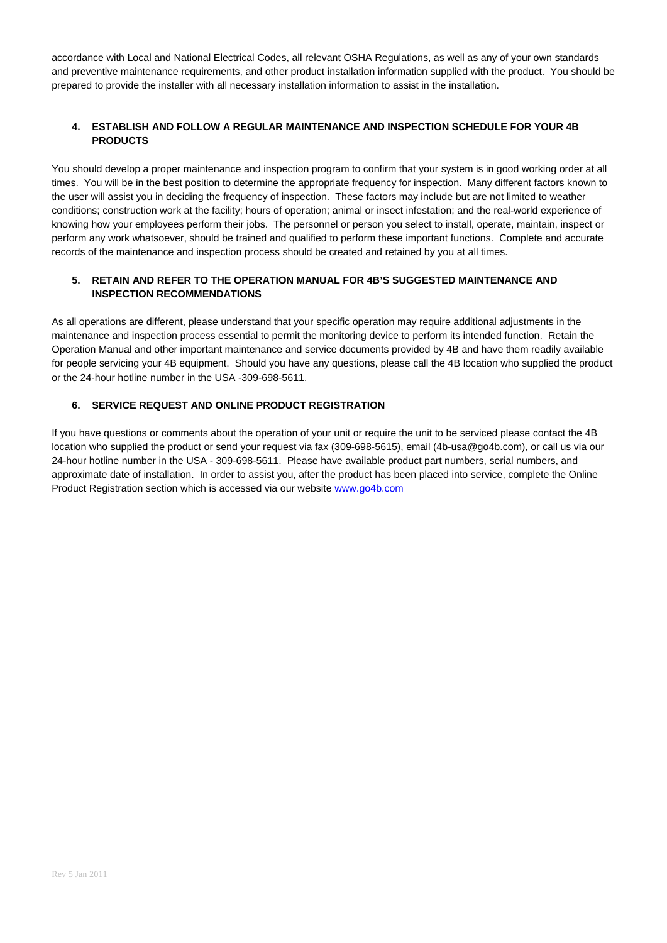accordance with Local and National Electrical Codes, all relevant OSHA Regulations, as well as any of your own standards and preventive maintenance requirements, and other product installation information supplied with the product. You should be prepared to provide the installer with all necessary installation information to assist in the installation.

## **4. ESTABLISH AND FOLLOW A REGULAR MAINTENANCE AND INSPECTION SCHEDULE FOR YOUR 4B PRODUCTS**

You should develop a proper maintenance and inspection program to confirm that your system is in good working order at all times. You will be in the best position to determine the appropriate frequency for inspection. Many different factors known to the user will assist you in deciding the frequency of inspection. These factors may include but are not limited to weather conditions; construction work at the facility; hours of operation; animal or insect infestation; and the real-world experience of knowing how your employees perform their jobs. The personnel or person you select to install, operate, maintain, inspect or perform any work whatsoever, should be trained and qualified to perform these important functions. Complete and accurate records of the maintenance and inspection process should be created and retained by you at all times.

#### **5. RETAIN AND REFER TO THE OPERATION MANUAL FOR 4B'S SUGGESTED MAINTENANCE AND INSPECTION RECOMMENDATIONS**

As all operations are different, please understand that your specific operation may require additional adjustments in the maintenance and inspection process essential to permit the monitoring device to perform its intended function. Retain the Operation Manual and other important maintenance and service documents provided by 4B and have them readily available for people servicing your 4B equipment. Should you have any questions, please call the 4B location who supplied the product or the 24-hour hotline number in the USA -309-698-5611.

## **6. SERVICE REQUEST AND ONLINE PRODUCT REGISTRATION**

If you have questions or comments about the operation of your unit or require the unit to be serviced please contact the 4B location who supplied the product or send your request via fax (309-698-5615), email (4b-usa@go4b.com), or call us via our 24-hour hotline number in the USA - 309-698-5611. Please have available product part numbers, serial numbers, and approximate date of installation. In order to assist you, after the product has been placed into service, complete the Online Product Registration section which is accessed via our website www.go4b.com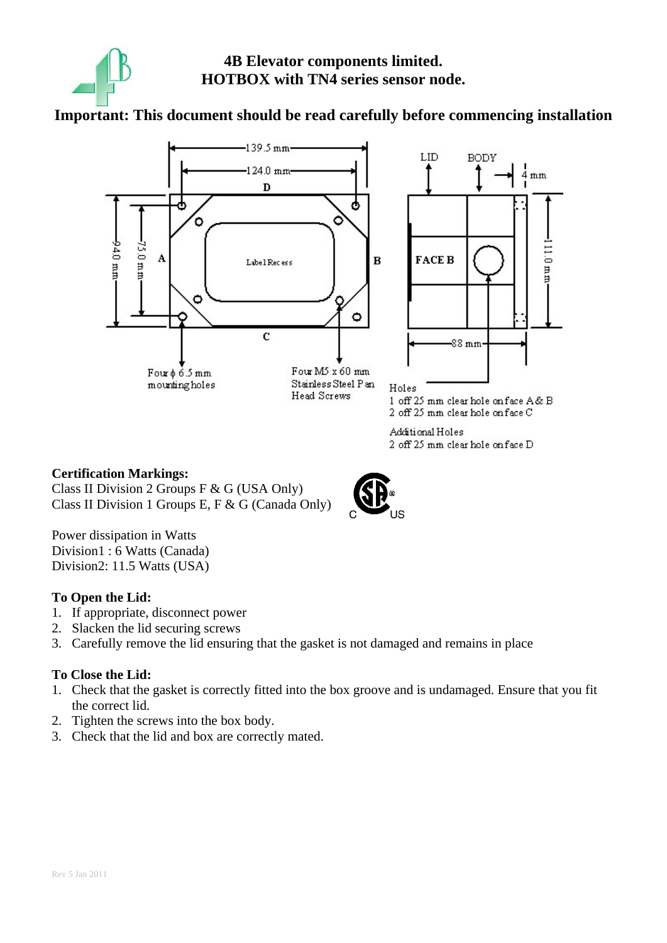

**4B Elevator components limited. HOTBOX with TN4 series sensor node.** 

## **Important: This document should be read carefully before commencing installation**



Additional Holes 2 off 25 mm clear hole on face D

## **Certification Markings:**  Class II Division 2 Groups F & G (USA Only) Class II Division 1 Groups E, F & G (Canada Only)

Power dissipation in Watts Division1 : 6 Watts (Canada) Division2: 11.5 Watts (USA)

## **To Open the Lid:**

- 1. If appropriate, disconnect power
- 2. Slacken the lid securing screws
- 3. Carefully remove the lid ensuring that the gasket is not damaged and remains in place

## **To Close the Lid:**

- 1. Check that the gasket is correctly fitted into the box groove and is undamaged. Ensure that you fit the correct lid.
- 2. Tighten the screws into the box body.
- 3. Check that the lid and box are correctly mated.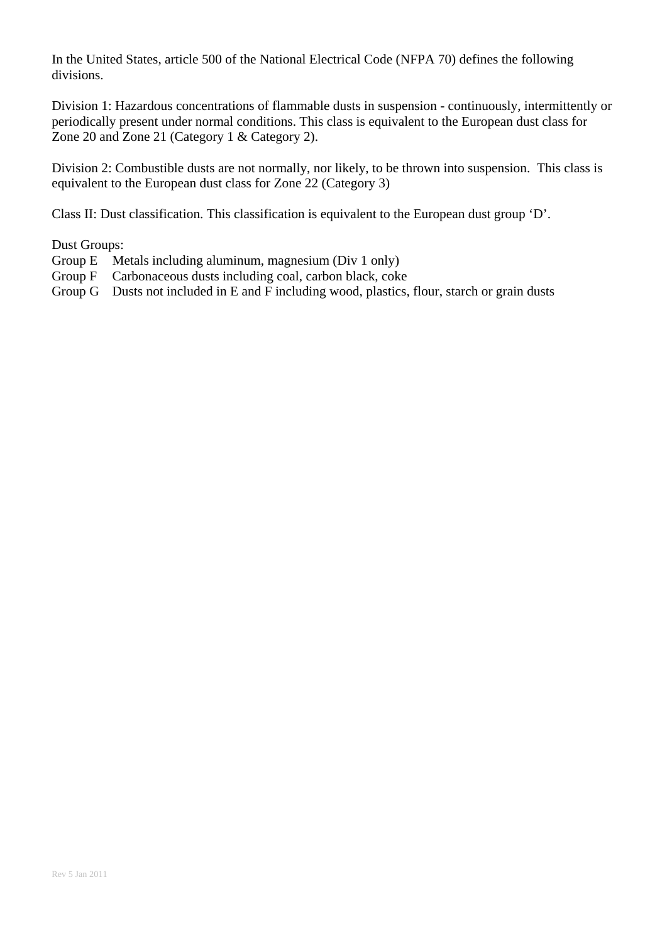In the United States, article 500 of the National Electrical Code (NFPA 70) defines the following divisions.

Division 1: Hazardous concentrations of flammable dusts in suspension - continuously, intermittently or periodically present under normal conditions. This class is equivalent to the European dust class for Zone 20 and Zone 21 (Category 1 & Category 2).

Division 2: Combustible dusts are not normally, nor likely, to be thrown into suspension. This class is equivalent to the European dust class for Zone 22 (Category 3)

Class II: Dust classification. This classification is equivalent to the European dust group 'D'.

Dust Groups:

- Group E Metals including aluminum, magnesium (Div 1 only)
- Group F Carbonaceous dusts including coal, carbon black, coke
- Group G Dusts not included in E and F including wood, plastics, flour, starch or grain dusts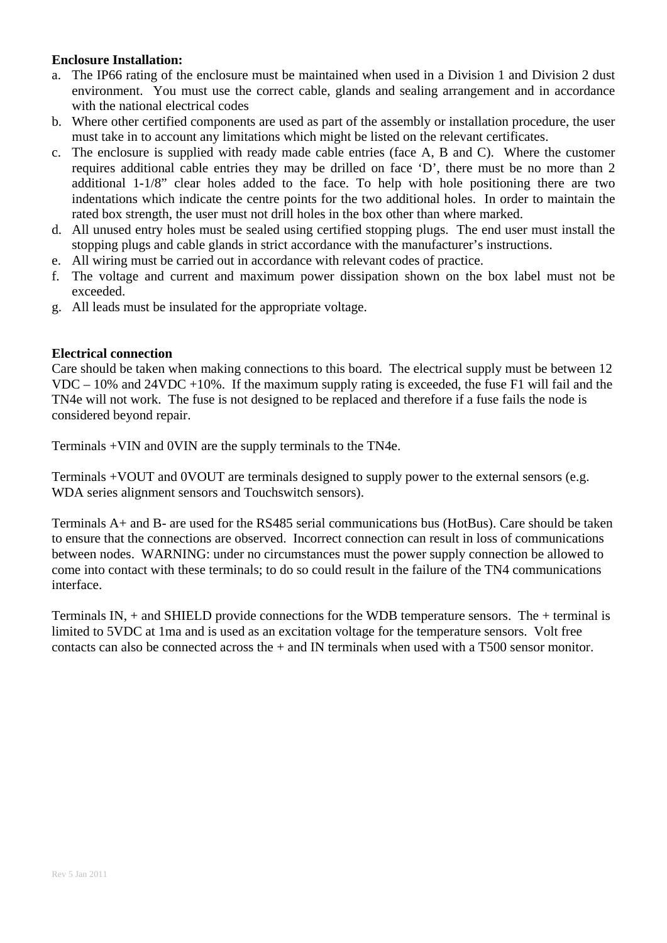## **Enclosure Installation:**

- a. The IP66 rating of the enclosure must be maintained when used in a Division 1 and Division 2 dust environment. You must use the correct cable, glands and sealing arrangement and in accordance with the national electrical codes
- b. Where other certified components are used as part of the assembly or installation procedure, the user must take in to account any limitations which might be listed on the relevant certificates.
- c. The enclosure is supplied with ready made cable entries (face A, B and C). Where the customer requires additional cable entries they may be drilled on face 'D', there must be no more than 2 additional 1-1/8" clear holes added to the face. To help with hole positioning there are two indentations which indicate the centre points for the two additional holes. In order to maintain the rated box strength, the user must not drill holes in the box other than where marked.
- d. All unused entry holes must be sealed using certified stopping plugs. The end user must install the stopping plugs and cable glands in strict accordance with the manufacturer's instructions.
- e. All wiring must be carried out in accordance with relevant codes of practice.
- f. The voltage and current and maximum power dissipation shown on the box label must not be exceeded.
- g. All leads must be insulated for the appropriate voltage.

## **Electrical connection**

Care should be taken when making connections to this board. The electrical supply must be between 12 VDC – 10% and 24VDC +10%. If the maximum supply rating is exceeded, the fuse F1 will fail and the TN4e will not work. The fuse is not designed to be replaced and therefore if a fuse fails the node is considered beyond repair.

Terminals +VIN and 0VIN are the supply terminals to the TN4e.

Terminals +VOUT and 0VOUT are terminals designed to supply power to the external sensors (e.g. WDA series alignment sensors and Touchswitch sensors).

Terminals A+ and B- are used for the RS485 serial communications bus (HotBus). Care should be taken to ensure that the connections are observed. Incorrect connection can result in loss of communications between nodes. WARNING: under no circumstances must the power supply connection be allowed to come into contact with these terminals; to do so could result in the failure of the TN4 communications interface.

Terminals IN, + and SHIELD provide connections for the WDB temperature sensors. The + terminal is limited to 5VDC at 1ma and is used as an excitation voltage for the temperature sensors. Volt free contacts can also be connected across the + and IN terminals when used with a T500 sensor monitor.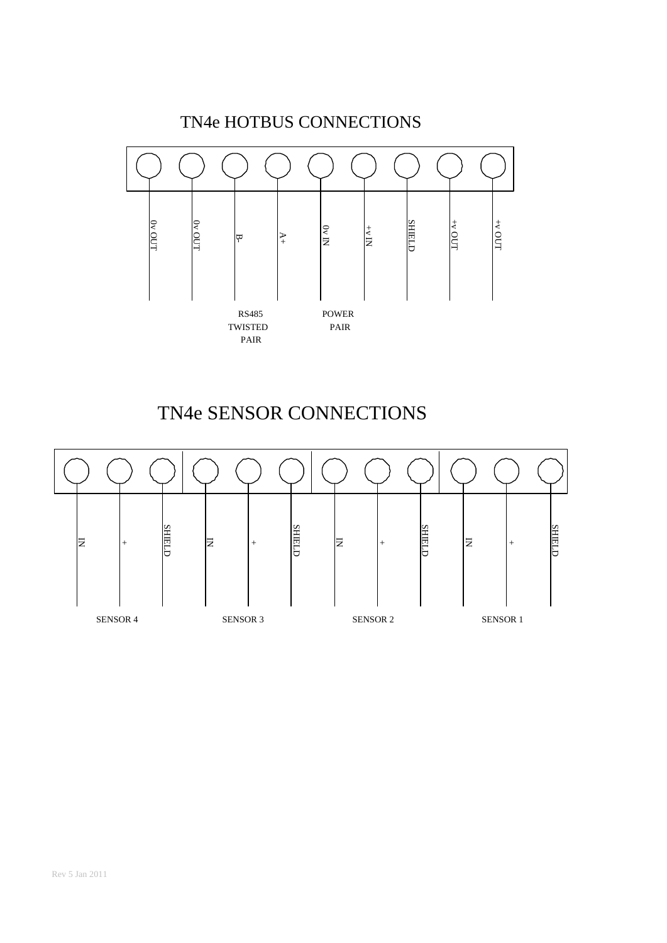

# TN4e SENSOR CONNECTIONS

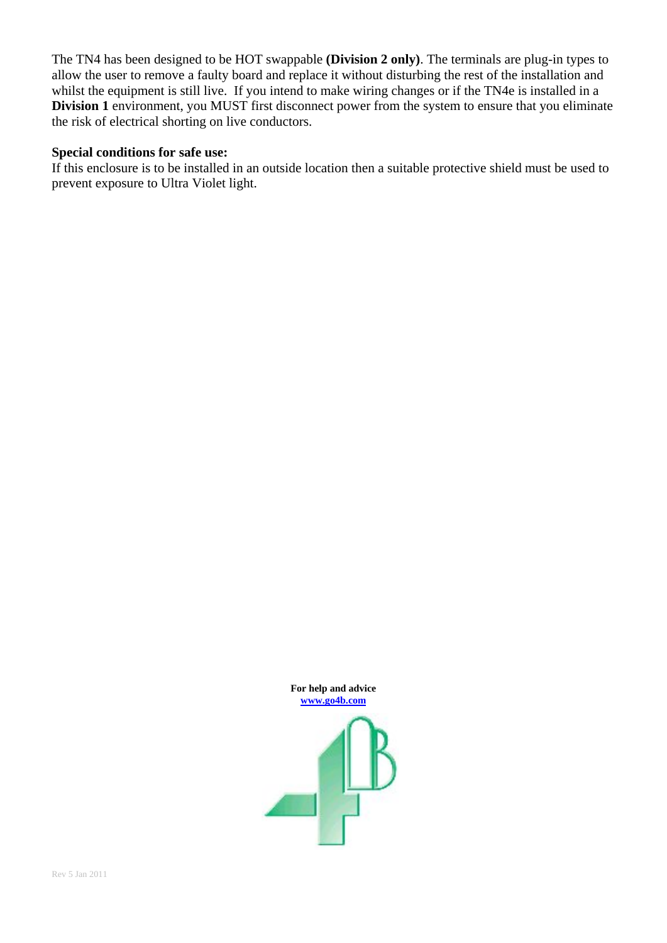The TN4 has been designed to be HOT swappable **(Division 2 only)**. The terminals are plug-in types to allow the user to remove a faulty board and replace it without disturbing the rest of the installation and whilst the equipment is still live. If you intend to make wiring changes or if the TN4e is installed in a **Division 1** environment, you MUST first disconnect power from the system to ensure that you eliminate the risk of electrical shorting on live conductors.

## **Special conditions for safe use:**

If this enclosure is to be installed in an outside location then a suitable protective shield must be used to prevent exposure to Ultra Violet light.